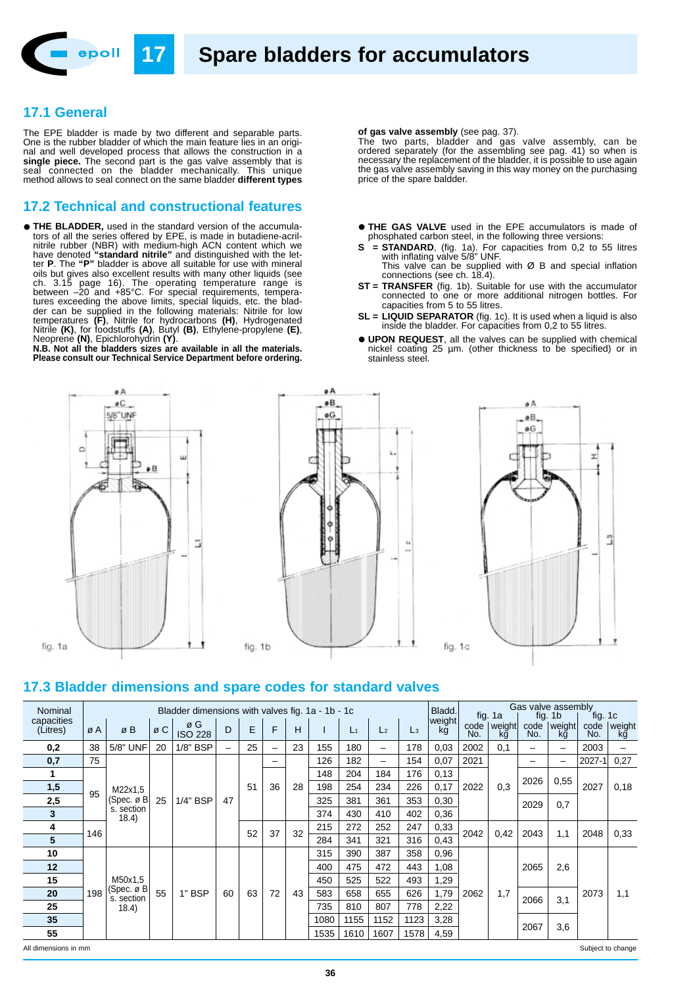

# **17.1 General**

The EPE bladder is made by two different and separable parts. One is the rubber bladder of which the main feature lies in an original and well developed process that allows the construction in a **single piece.** The second part is the gas valve assembly that is seal connected on the bladder mechanically. This unique method allows to seal connect on the same bladder **different types**

#### **17.2 Technical and constructional features**

• **THE BLADDER,** used in the standard version of the accumulators of all the series offered by EPE, is made in butadiene-acrilnitrile rubber (NBR) with medium-high ACN content which we have denoted **"standard nitrile"** and distinguished with the letter **P**. The **"P"** bladder is above all suitable for use with mineral oils but gives also excellent results with many other liquids (see ch. 3.15 page 16). The operating temperature range is between –20 and +85°C. For special requirements, temperatures exceeding the above limits, special liquids, etc. the bladder can be supplied in the following materials: Nitrile for low temperatures **(F)**, Nitrile for hydrocarbons **(H)**, Hydrogenated Nitrile **(K)**, for foodstuffs **(A)**, Butyl **(B)**, Ethylene-propylene **(E)**,

Neoprene **(N)**, Epichlorohydrin **(Y)**. **N.B. Not all the bladders sizes are available in all the materials. Please consult our Technical Service Department before ordering.**





#### **of gas valve assembly** (see pag. 37).

The two parts, bladder and gas valve assembly, can be ordered separately (for the assembling see pag. 41) so when is necessary the replacement of the bladder, it is possible to use again the gas valve assembly saving in this way money on the purchasing price of the spare baldder.

- **THE GAS VALVE** used in the EPE accumulators is made of phosphated carbon steel, in the following three versions:
- **S = STANDARD**, (fig. 1a). For capacities from 0,2 to 55 litres with inflating valve 5/8" UNF.
- This valve can be supplied with Ø B and special inflation connections (see ch. 18.4).
- **ST = TRANSFER** (fig. 1b). Suitable for use with the accumulator connected to one or more additional nitrogen bottles. For capacities from 5 to 55 litres.
- **SL = LIQUID SEPARATOR** (fig. 1c). It is used when a liquid is also inside the bladder. For capacities from 0,2 to 55 litres.
- **UPON REQUEST**, all the valves can be supplied with chemical nickel coating 25 µm. (other thickness to be specified) or in stainless steel.



### **17.3 Bladder dimensions and spare codes for standard valves**

| Nominal                |                 | Bladder dimensions with valves fig. 1a - 1b - 1c         |     |                                           |    |    |    |    |      |       |                |                |              | Gas valve assembly<br>Bladd.<br>fig. 1a<br>fig. 1c<br>1b<br>fig. |              |      |                          |             |              |
|------------------------|-----------------|----------------------------------------------------------|-----|-------------------------------------------|----|----|----|----|------|-------|----------------|----------------|--------------|------------------------------------------------------------------|--------------|------|--------------------------|-------------|--------------|
| capacities<br>(Litres) | øΑ              | ø B                                                      | ø C | ø G<br><b>ISO 228</b>                     | D  | E  | F  | н  |      | $L_1$ | L <sub>2</sub> | $\mathsf{L}_3$ | weight<br>kg | code<br>No.                                                      | weight<br>kğ | No.  | code   weight  <br>kg    | code<br>No. | weight<br>kğ |
| 0,2                    | 38              | 5/8" UNF                                                 | 20  | 1/8" BSP                                  | -  | 25 |    | 23 | 155  | 180   | -              | 178            | 0,03         | 2002                                                             | 0.1          | -    | $\overline{\phantom{0}}$ | 2003        |              |
| 0,7                    | 75<br>95<br>146 | M22x1,5<br>(Spec. $\varnothing$ B<br>s. section<br>18.4) | 25  | 1/4" BSP                                  | 47 | 51 | 36 | 28 | 126  | 182   | -              | 154            | 0,07         | 2021<br>2022                                                     | 0,3          | -    |                          | 2027-1      | 0,27         |
| 1                      |                 |                                                          |     |                                           |    |    |    |    | 148  | 204   | 184            | 176            | 0,13         |                                                                  |              | 2026 |                          | 2027        | 0,18         |
| 1,5                    |                 |                                                          |     |                                           |    |    |    |    | 198  | 254   | 234            | 226            | 0,17         |                                                                  |              |      | 0,55                     |             |              |
| 2,5                    |                 |                                                          |     |                                           |    |    |    |    | 325  | 381   | 361            | 353            | 0,30         |                                                                  |              | 2029 | 0,7                      |             |              |
| 3                      |                 |                                                          |     |                                           |    |    |    |    | 374  | 430   | 410            | 402            | 0,36         |                                                                  |              |      |                          |             |              |
| 4                      |                 |                                                          |     |                                           |    | 52 | 37 | 32 | 215  | 272   | 252            | 247            | 0,33         | 2042<br>0,42                                                     |              | 2043 | 1,1                      | 2048        | 0,33         |
| 5                      |                 |                                                          |     |                                           |    |    |    |    | 284  | 341   | 321            | 316            | 0,43         |                                                                  |              |      |                          |             |              |
| 10                     | 198             | M50x1,5<br>(Spec. ø B∣<br>s. section<br>18.4)            | 55  | 1" BSP                                    | 60 | 63 | 72 | 43 | 315  | 390   | 387            | 358            | 0,96         | 1,7<br>2062                                                      |              | 2065 |                          | 2073        | 1,1          |
| 12                     |                 |                                                          |     |                                           |    |    |    |    | 400  | 475   | 472            | 443            | 1,08         |                                                                  |              |      | 2,6                      |             |              |
| 15                     |                 |                                                          |     |                                           |    |    |    |    | 450  | 525   | 522            | 493            | 1,29         |                                                                  |              |      |                          |             |              |
| 20                     |                 |                                                          |     |                                           |    |    |    |    | 583  | 658   | 655            | 626            | 1,79         |                                                                  |              | 2066 | 3,1                      |             |              |
| 25                     |                 |                                                          |     |                                           |    |    |    |    | 735  | 810   | 807            | 778            | 2,22         |                                                                  |              |      |                          |             |              |
| 35                     |                 |                                                          |     |                                           |    |    |    |    | 1080 | 1155  | 1152           | 1123           | 3,28         |                                                                  |              |      |                          |             |              |
| 55                     |                 |                                                          |     |                                           |    |    |    |    | 1535 | 1610  | 1607           | 1578           | 4,59         |                                                                  | 2067         | 3,6  |                          |             |              |
|                        |                 |                                                          |     | Subject to change<br>All dimensions in mm |    |    |    |    |      |       |                |                |              |                                                                  |              |      |                          |             |              |